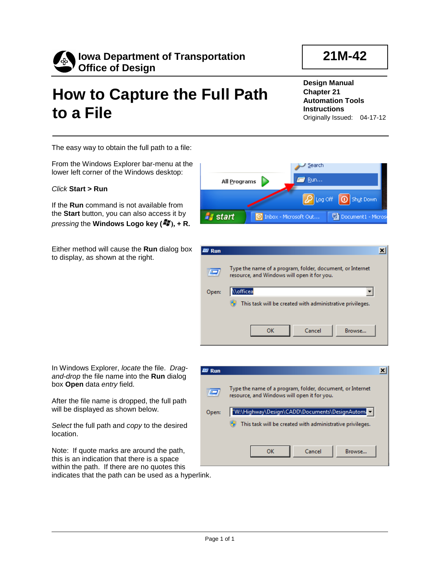

## **How to Capture the Full Path to a File**

**Design Manual Chapter 21 Automation Tools Instructions** Originally Issued: 04-17-12

The easy way to obtain the full path to a file:

From the Windows Explorer bar-menu at the lower left corner of the Windows desktop:

## *Click* **Start > Run**

If the **Run** command is not available from the **Start** button, you can also access it by *pressing* the **Windows Logo key** ( $\frac{27}{10}$ ), + R.

Either method will cause the **Run** dialog box to display, as shown at the right.

In Windows Explorer, *locate* the file. *Dragand-drop* the file name into the **Run** dialog box **Open** data *entry* field.

After the file name is dropped, the full path will be displayed as shown below.

*Select* the full path and *copy* to the desired location.

Note: If quote marks are around the path, this is an indication that there is a space within the path. If there are no quotes this indicates that the path can be used as a hyperlink.



| <b>Run</b>     |                                                                                                          |  |
|----------------|----------------------------------------------------------------------------------------------------------|--|
| $\overline{r}$ | Type the name of a program, folder, document, or Internet<br>resource, and Windows will open it for you. |  |
| Open:          | <i><b>Nofficea</b></i>                                                                                   |  |
|                | This task will be created with administrative privileges.                                                |  |
|                |                                                                                                          |  |
|                | Cancel<br>Browse<br>OK                                                                                   |  |